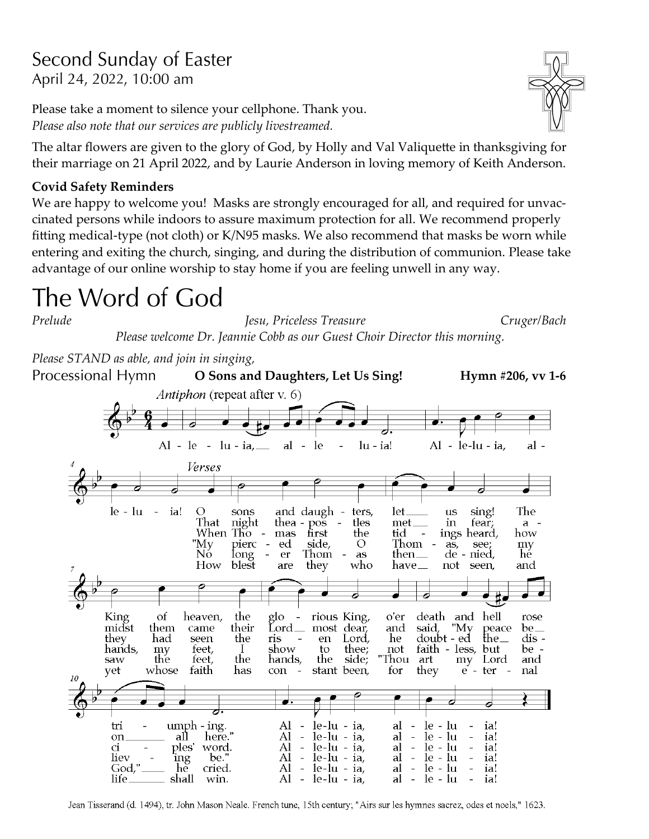# Second Sunday of Easter April 24, 2022, 10:00 am

Please take a moment to silence your cellphone. Thank you. *Please also note that our services are publicly livestreamed.*

The altar flowers are given to the glory of God, by Holly and Val Valiquette in thanksgiving for their marriage on 21 April 2022, and by Laurie Anderson in loving memory of Keith Anderson.

### **Covid Safety Reminders**

We are happy to welcome you! Masks are strongly encouraged for all, and required for unvaccinated persons while indoors to assure maximum protection for all. We recommend properly fitting medical-type (not cloth) or K/N95 masks. We also recommend that masks be worn while entering and exiting the church, singing, and during the distribution of communion. Please take advantage of our online worship to stay home if you are feeling unwell in any way.

# The Word of God

*Prelude Jesu, Priceless Treasure Cruger/Bach Please welcome Dr. Jeannie Cobb as our Guest Choir Director this morning. Please STAND as able, and join in singing,* **O Sons and Daughters, Let Us Sing! Hymn #206, vv 1-6** Processional Hymn *Antiphon* (repeat after v. 6)  $Al - le - lu - ia$  $al - le$  $lu - ia!$  $Al - le-lu - ia$ al - $\overline{\phantom{0}}$ Verses  $le -lu$  $\sim$ ia!  $\circ$ sons and daugh ters, let. sing! The  $\mathbf{u}\mathbf{s}$ That night thea  $\overline{pos}$  $\sim$ tles met in fear;  $a -$ When Tho  $\overline{a}$ mas first the tid ings heard, how "My pierc side,  $\circ$ Thom ed as, see; my Iong Nŏ er Thom as then $\equiv$  $de$ nied, hě How blest they who have $\_$ not seen, and are 6 7 King of glo and hell heaven, the rious King, o'er death  $\sim$  . rose midst them their  $Lord$ <sub>—</sub> be\_ came most dear, and said, "My peace Lord, the\_ dis they had seen the ris en he doubt - ed thee; show hands, my feet, to. not faith - less, but be - $\perp$ "Thou saw the feet, the hands, the art Lord and side; my faith has stant been, they yet whose con for e - ter nal  $10$  $umph - ing.$ Al  $\sim$  $le-lu - ia$  $le -lu$ tri al  $\equiv$ ia! here."  $le -lu$  $le-lu - ia$  $\perp$ on all Al  $\overline{\phantom{a}}$ al ia! ples'  $le-lu - ia$ Al  $\overline{\phantom{a}}$  $\omega$  $le -lu$ CÍ. word. al ia! liev be.  $\overline{\phantom{a}}$  $le-lu - ia$  $\bar{\mathcal{L}}$ le - lu ing Al al ia! God," hĕ cried. Al  $\pm$ le-lu - ia, al  $\frac{1}{\sqrt{2}}$ le - lu ia!

Jean Tisserand (d. 1494), tr. John Mason Neale. French tune, 15th century; "Airs sur les hymnes sacrez, odes et noels," 1623.

le-lu - ia,

al  $\equiv$  le - lu

ia!

Al  $\sim$   $-$ 

shall

win.

life

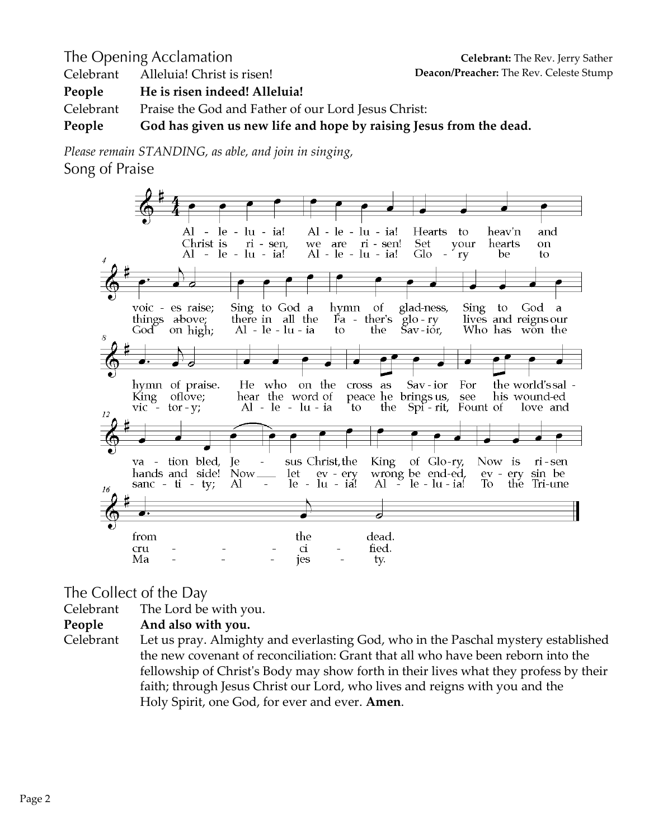The Opening Acclamation Celebrant Alleluia! Christ is risen! **People He is risen indeed! Alleluia!** Celebrant Praise the God and Father of our Lord Jesus Christ: **People God has given us new life and hope by raising Jesus from the dead.**

*Please remain STANDING, as able, and join in singing,* Song of Praise



The Collect of the Day

Celebrant The Lord be with you.

**People And also with you.**

Celebrant Let us pray. Almighty and everlasting God, who in the Paschal mystery established the new covenant of reconciliation: Grant that all who have been reborn into the fellowship of Christ's Body may show forth in their lives what they profess by their faith; through Jesus Christ our Lord, who lives and reigns with you and the Holy Spirit, one God, for ever and ever. **Amen**.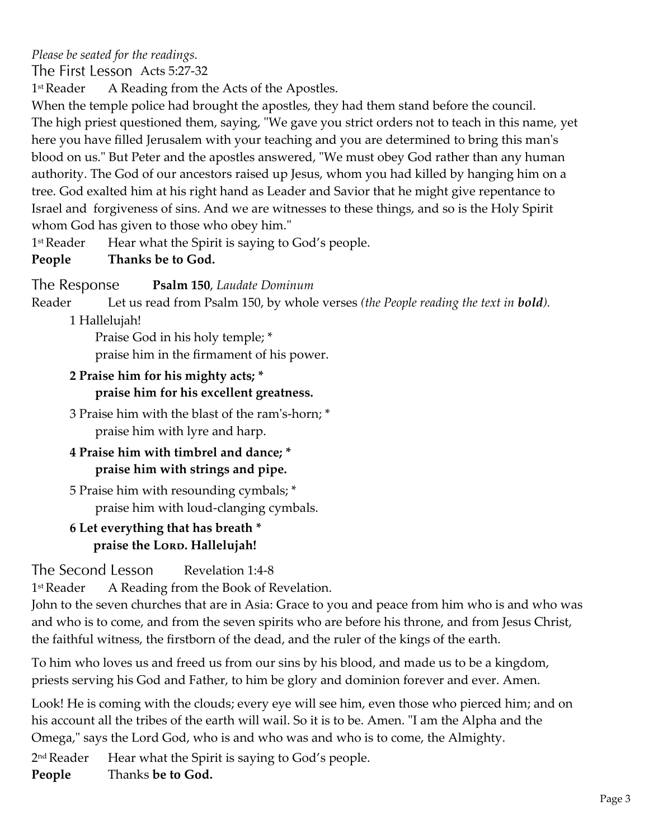*Please be seated for the readings.*

The First Lesson Acts 5:27-32

1<sup>st</sup> Reader A Reading from the Acts of the Apostles.

When the temple police had brought the apostles, they had them stand before the council. The high priest questioned them, saying, "We gave you strict orders not to teach in this name, yet here you have filled Jerusalem with your teaching and you are determined to bring this man's blood on us." But Peter and the apostles answered, "We must obey God rather than any human authority. The God of our ancestors raised up Jesus, whom you had killed by hanging him on a tree. God exalted him at his right hand as Leader and Savior that he might give repentance to Israel and forgiveness of sins. And we are witnesses to these things, and so is the Holy Spirit whom God has given to those who obey him."

1<sup>st</sup> Reader Hear what the Spirit is saying to God's people.

**People Thanks be to God.**

The Response **Psalm 150**, *Laudate Dominum*

Reader Let us read from Psalm 150, by whole verses *(the People reading the text in bold).*

1 Hallelujah!

Praise God in his holy temple; \* praise him in the firmament of his power.

- **2 Praise him for his mighty acts; \***
	- **praise him for his excellent greatness.**

3 Praise him with the blast of the ram's-horn; \* praise him with lyre and harp.

# **4 Praise him with timbrel and dance; \* praise him with strings and pipe.**

5 Praise him with resounding cymbals; \* praise him with loud-clanging cymbals.

# **6 Let everything that has breath \*** praise the Lorp. Hallelujah!

The Second Lesson Revelation 1:4-8

1<sup>st</sup> Reader A Reading from the Book of Revelation.

John to the seven churches that are in Asia: Grace to you and peace from him who is and who was and who is to come, and from the seven spirits who are before his throne, and from Jesus Christ, the faithful witness, the firstborn of the dead, and the ruler of the kings of the earth.

To him who loves us and freed us from our sins by his blood, and made us to be a kingdom, priests serving his God and Father, to him be glory and dominion forever and ever. Amen.

Look! He is coming with the clouds; every eye will see him, even those who pierced him; and on his account all the tribes of the earth will wail. So it is to be. Amen. "I am the Alpha and the Omega," says the Lord God, who is and who was and who is to come, the Almighty.

2<sup>nd</sup> Reader Hear what the Spirit is saying to God's people.

**People** Thanks **be to God.**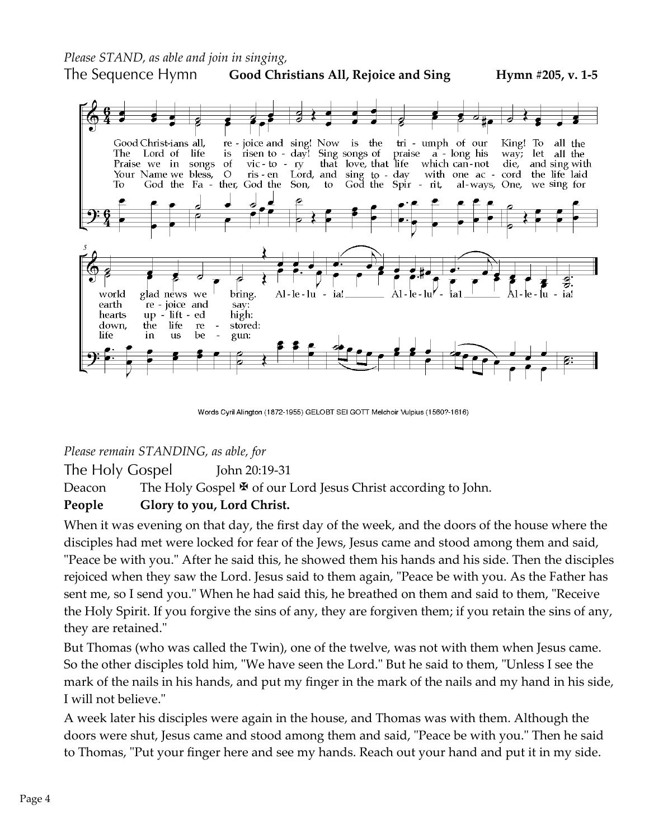*Please STAND, as able and join in singing,*

The Sequence Hymn **Good Christians All, Rejoice and Sing Hymn #205, v. 1-5**



Words Cyril Alington (1872-1955) GELOBT SEI GOTT Melchoir Vulpius (1560?-1616)

*Please remain STANDING, as able, for*

The Holy Gospel John 20:19-31 Deacon The Holy Gospel  $\mathbb F$  of our Lord Jesus Christ according to John.

#### **People Glory to you, Lord Christ.**

When it was evening on that day, the first day of the week, and the doors of the house where the disciples had met were locked for fear of the Jews, Jesus came and stood among them and said, "Peace be with you." After he said this, he showed them his hands and his side. Then the disciples rejoiced when they saw the Lord. Jesus said to them again, "Peace be with you. As the Father has sent me, so I send you." When he had said this, he breathed on them and said to them, "Receive the Holy Spirit. If you forgive the sins of any, they are forgiven them; if you retain the sins of any, they are retained."

But Thomas (who was called the Twin), one of the twelve, was not with them when Jesus came. So the other disciples told him, "We have seen the Lord." But he said to them, "Unless I see the mark of the nails in his hands, and put my finger in the mark of the nails and my hand in his side, I will not believe."

A week later his disciples were again in the house, and Thomas was with them. Although the doors were shut, Jesus came and stood among them and said, "Peace be with you." Then he said to Thomas, "Put your finger here and see my hands. Reach out your hand and put it in my side.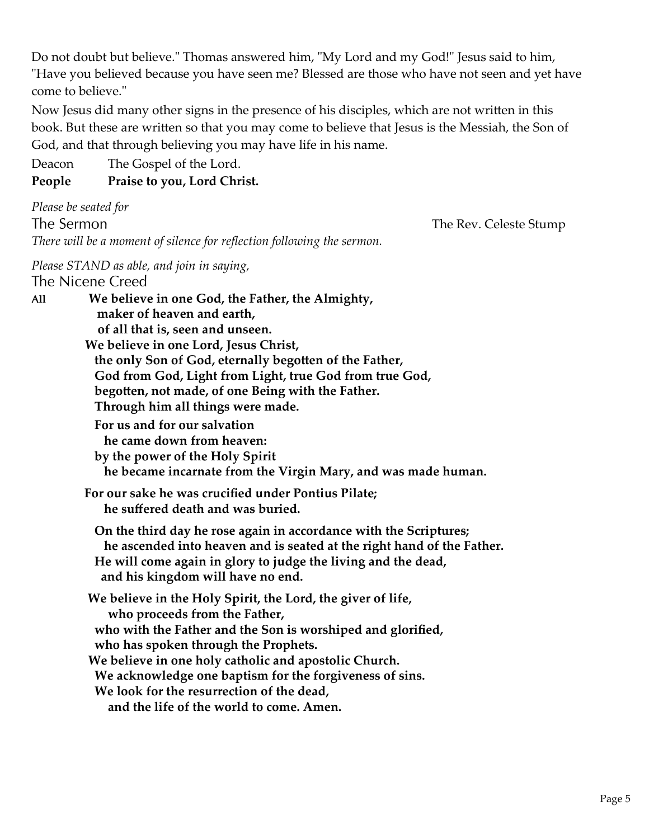Do not doubt but believe." Thomas answered him, "My Lord and my God!" Jesus said to him, "Have you believed because you have seen me? Blessed are those who have not seen and yet have come to believe."

Now Jesus did many other signs in the presence of his disciples, which are not written in this book. But these are written so that you may come to believe that Jesus is the Messiah, the Son of God, and that through believing you may have life in his name.

Deacon The Gospel of the Lord.

## **People Praise to you, Lord Christ.**

*Please be seated for* The Sermon *There will be a moment of silence for reflection following the sermon.*

The Rev. Celeste Stump

*Please STAND as able, and join in saying,* The Nicene Creed

**ll We believe in one God, the Father, the Almighty, maker of heaven and earth, of all that is, seen and unseen. We believe in one Lord, Jesus Christ, the only Son of God, eternally begotten of the Father, God from God, Light from Light, true God from true God, begotten, not made, of one Being with the Father. Through him all things were made. For us and for our salvation he came down from heaven: by the power of the Holy Spirit he became incarnate from the Virgin Mary, and was made human. For our sake he was crucified under Pontius Pilate; he suffered death and was buried. On the third day he rose again in accordance with the Scriptures; he ascended into heaven and is seated at the right hand of the Father. He will come again in glory to judge the living and the dead, and his kingdom will have no end. We believe in the Holy Spirit, the Lord, the giver of life, who proceeds from the Father, who with the Father and the Son is worshiped and glorified, who has spoken through the Prophets. We believe in one holy catholic and apostolic Church. We acknowledge one baptism for the forgiveness of sins. We look for the resurrection of the dead, and the life of the world to come. Amen.**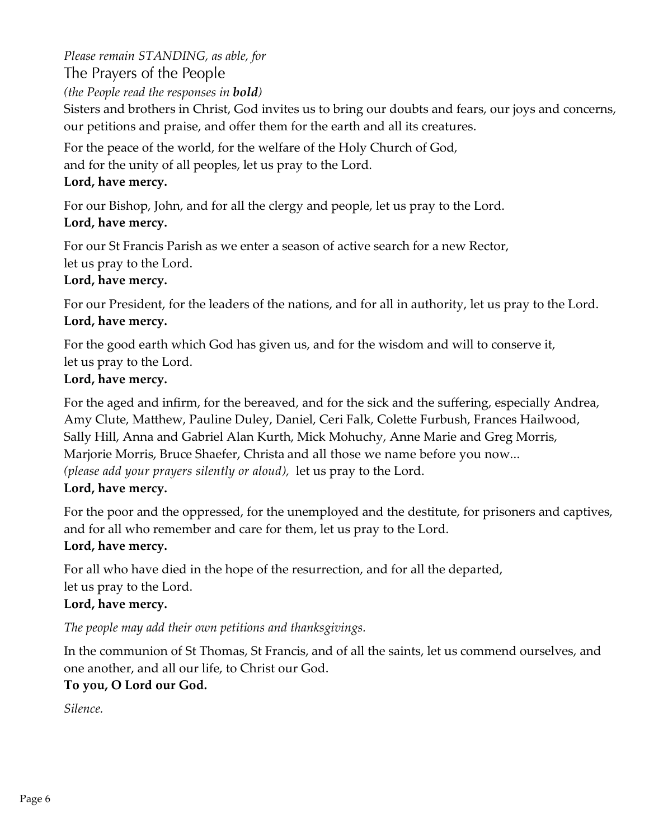*Please remain STANDING, as able, for*  The Prayers of the People

*(the People read the responses in bold)*

Sisters and brothers in Christ, God invites us to bring our doubts and fears, our joys and concerns, our petitions and praise, and offer them for the earth and all its creatures.

For the peace of the world, for the welfare of the Holy Church of God,

and for the unity of all peoples, let us pray to the Lord.

## **Lord, have mercy.**

For our Bishop, John, and for all the clergy and people, let us pray to the Lord.

## **Lord, have mercy.**

For our St Francis Parish as we enter a season of active search for a new Rector,

let us pray to the Lord.

## **Lord, have mercy.**

For our President, for the leaders of the nations, and for all in authority, let us pray to the Lord. **Lord, have mercy.**

For the good earth which God has given us, and for the wisdom and will to conserve it, let us pray to the Lord.

# **Lord, have mercy.**

For the aged and infirm, for the bereaved, and for the sick and the suffering, especially Andrea, Amy Clute, Matthew, Pauline Duley, Daniel, Ceri Falk, Colette Furbush, Frances Hailwood, Sally Hill, Anna and Gabriel Alan Kurth, Mick Mohuchy, Anne Marie and Greg Morris, Marjorie Morris, Bruce Shaefer, Christa and all those we name before you now... *(please add your prayers silently or aloud),* let us pray to the Lord.

### **Lord, have mercy.**

For the poor and the oppressed, for the unemployed and the destitute, for prisoners and captives, and for all who remember and care for them, let us pray to the Lord. **Lord, have mercy.**

For all who have died in the hope of the resurrection, and for all the departed, let us pray to the Lord.

# **Lord, have mercy.**

*The people may add their own petitions and thanksgivings.*

In the communion of St Thomas, St Francis, and of all the saints, let us commend ourselves, and one another, and all our life, to Christ our God.

# **To you, O Lord our God.**

*Silence.*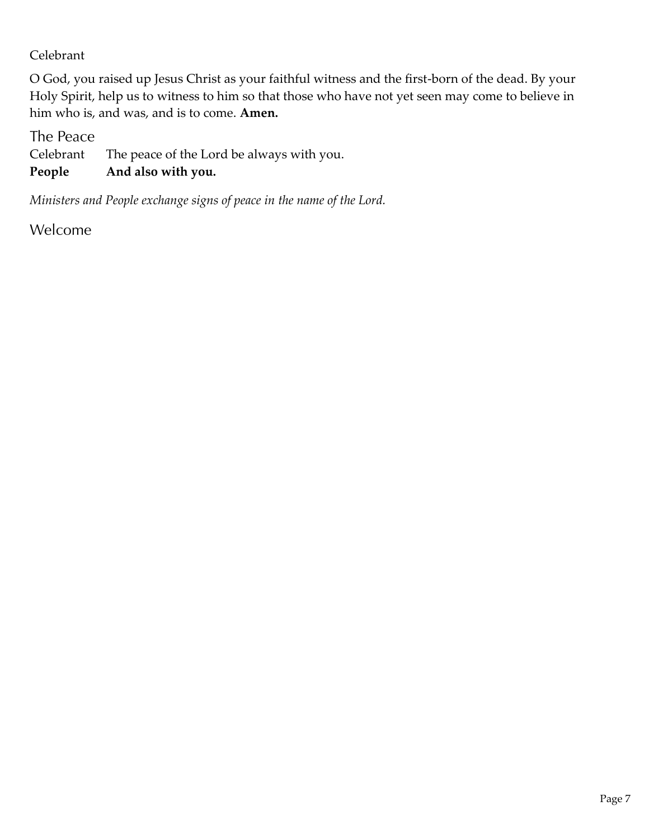## Celebrant

O God, you raised up Jesus Christ as your faithful witness and the first-born of the dead. By your Holy Spirit, help us to witness to him so that those who have not yet seen may come to believe in him who is, and was, and is to come. **Amen.**

The Peace

Celebrant The peace of the Lord be always with you.

**People And also with you.** 

*Ministers and People exchange signs of peace in the name of the Lord.*

Welcome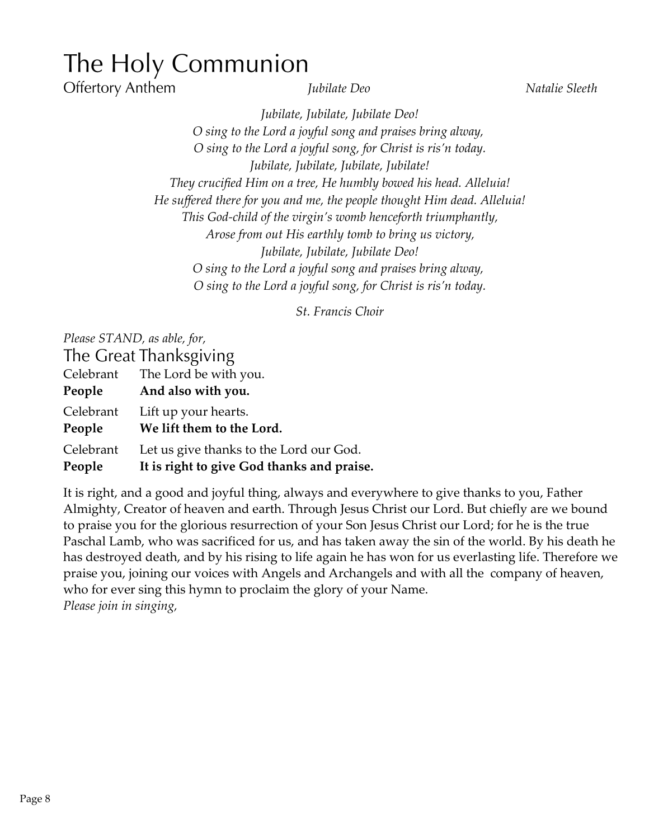# The Holy Communion

**Offertory Anthem** 

*Iubilate Deo* Natalie Sleeth

*Jubilate, Jubilate, Jubilate Deo! O sing to the Lord a joyful song and praises bring alway, O sing to the Lord a joyful song, for Christ is ris'n today. Jubilate, Jubilate, Jubilate, Jubilate! They crucified Him on a tree, He humbly bowed his head. Alleluia! He suffered there for you and me, the people thought Him dead. Alleluia! This God-child of the virgin's womb henceforth triumphantly, Arose from out His earthly tomb to bring us victory, Jubilate, Jubilate, Jubilate Deo! O sing to the Lord a joyful song and praises bring alway, O sing to the Lord a joyful song, for Christ is ris'n today.*

*St. Francis Choir*

*Please STAND, as able, for,*

The Great Thanksgiving Celebrant The Lord be with you.

| People              | And also with you.                                |
|---------------------|---------------------------------------------------|
| Celebrant<br>People | Lift up your hearts.<br>We lift them to the Lord. |
| Celebrant           | Let us give thanks to the Lord our God.           |
| People              | It is right to give God thanks and praise.        |

It is right, and a good and joyful thing, always and everywhere to give thanks to you, Father Almighty, Creator of heaven and earth. Through Jesus Christ our Lord. But chiefly are we bound to praise you for the glorious resurrection of your Son Jesus Christ our Lord; for he is the true Paschal Lamb, who was sacrificed for us, and has taken away the sin of the world. By his death he has destroyed death, and by his rising to life again he has won for us everlasting life. Therefore we praise you, joining our voices with Angels and Archangels and with all the company of heaven, who for ever sing this hymn to proclaim the glory of your Name. *Please join in singing,*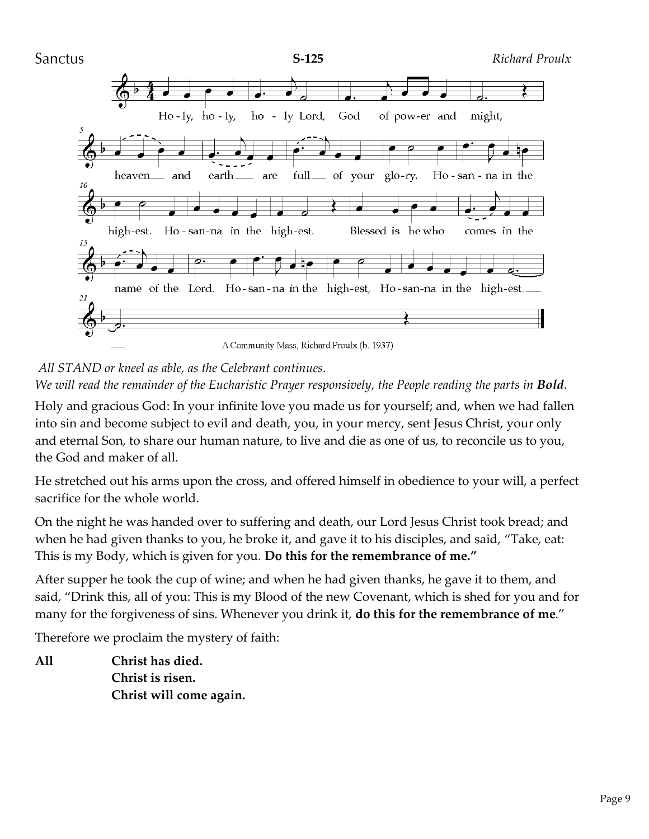

A Community Mass, Richard Proulx (b. 1937)

*All STAND or kneel as able, as the Celebrant continues. We will read the remainder of the Eucharistic Prayer responsively, the People reading the parts in Bold.* 

Holy and gracious God: In your infinite love you made us for yourself; and, when we had fallen into sin and become subject to evil and death, you, in your mercy, sent Jesus Christ, your only and eternal Son, to share our human nature, to live and die as one of us, to reconcile us to you, the God and maker of all.

He stretched out his arms upon the cross, and offered himself in obedience to your will, a perfect sacrifice for the whole world.

On the night he was handed over to suffering and death, our Lord Jesus Christ took bread; and when he had given thanks to you, he broke it, and gave it to his disciples, and said, "Take, eat: This is my Body, which is given for you. **Do this for the remembrance of me."**

After supper he took the cup of wine; and when he had given thanks, he gave it to them, and said, "Drink this, all of you: This is my Blood of the new Covenant, which is shed for you and for many for the forgiveness of sins. Whenever you drink it, **do this for the remembrance of me**."

Therefore we proclaim the mystery of faith:

**All Christ has died. Christ is risen. Christ will come again.**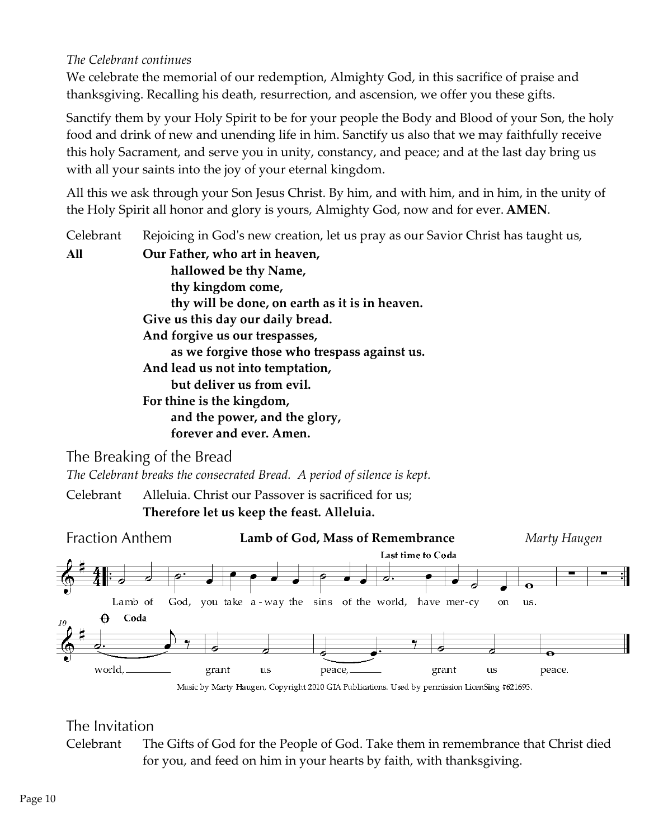#### *The Celebrant continues*

We celebrate the memorial of our redemption, Almighty God, in this sacrifice of praise and thanksgiving. Recalling his death, resurrection, and ascension, we offer you these gifts.

Sanctify them by your Holy Spirit to be for your people the Body and Blood of your Son, the holy food and drink of new and unending life in him. Sanctify us also that we may faithfully receive this holy Sacrament, and serve you in unity, constancy, and peace; and at the last day bring us with all your saints into the joy of your eternal kingdom.

All this we ask through your Son Jesus Christ. By him, and with him, and in him, in the unity of the Holy Spirit all honor and glory is yours, Almighty God, now and for ever. **AMEN**.

Celebrant Rejoicing in God's new creation, let us pray as our Savior Christ has taught us, **All Our Father, who art in heaven, hallowed be thy Name, thy kingdom come, thy will be done, on earth as it is in heaven. Give us this day our daily bread. And forgive us our trespasses, as we forgive those who trespass against us. And lead us not into temptation, but deliver us from evil. For thine is the kingdom, and the power, and the glory, forever and ever. Amen.**

The Breaking of the Bread

*The Celebrant breaks the consecrated Bread. A period of silence is kept.*

Celebrant Alleluia. Christ our Passover is sacrificed for us;

**Therefore let us keep the feast. Alleluia.** 



### The Invitation

Celebrant The Gifts of God for the People of God. Take them in remembrance that Christ died for you, and feed on him in your hearts by faith, with thanksgiving.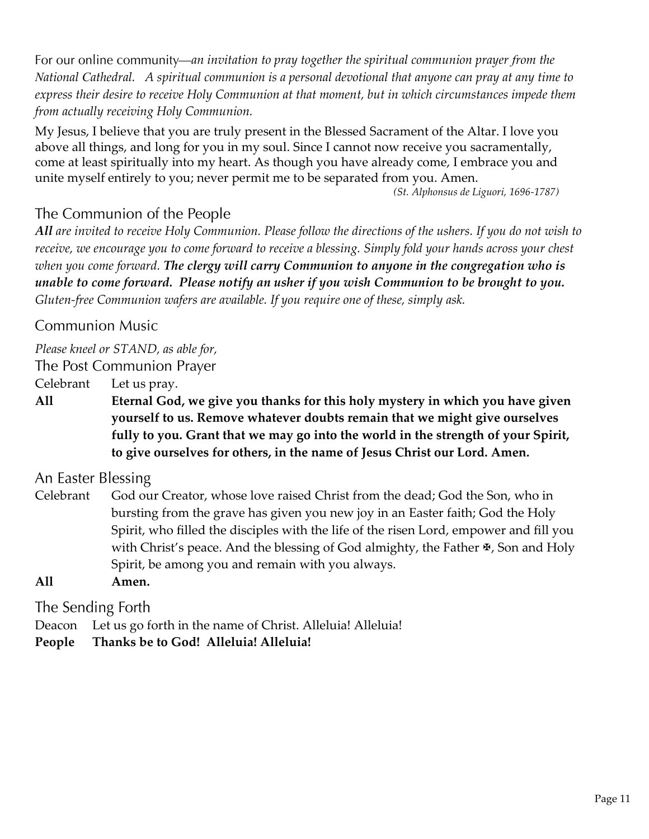*an invitation to pray together the spiritual communion prayer from the National Cathedral. A spiritual communion is a personal devotional that anyone can pray at any time to express their desire to receive Holy Communion at that moment, but in which circumstances impede them from actually receiving Holy Communion.*

My Jesus, I believe that you are truly present in the Blessed Sacrament of the Altar. I love you above all things, and long for you in my soul. Since I cannot now receive you sacramentally, come at least spiritually into my heart. As though you have already come, I embrace you and unite myself entirely to you; never permit me to be separated from you. Amen.

*(St. Alphonsus de Liguori, 1696-1787)*

# The Communion of the People

*All are invited to receive Holy Communion. Please follow the directions of the ushers. If you do not wish to receive, we encourage you to come forward to receive a blessing. Simply fold your hands across your chest when you come forward. The clergy will carry Communion to anyone in the congregation who is unable to come forward. Please notify an usher if you wish Communion to be brought to you. Gluten-free Communion wafers are available. If you require one of these, simply ask.*

# **Communion Music**

*Please kneel or STAND, as able for,*

The Post Communion Prayer

Celebrant Let us pray.

**All Eternal God, we give you thanks for this holy mystery in which you have given yourself to us. Remove whatever doubts remain that we might give ourselves fully to you. Grant that we may go into the world in the strength of your Spirit, to give ourselves for others, in the name of Jesus Christ our Lord. Amen.**

An Easter Blessing

Celebrant God our Creator, whose love raised Christ from the dead; God the Son, who in bursting from the grave has given you new joy in an Easter faith; God the Holy Spirit, who filled the disciples with the life of the risen Lord, empower and fill you with Christ's peace. And the blessing of God almighty, the Father  $\mathbb{F}$ , Son and Holy Spirit, be among you and remain with you always.

**All Amen.**

The Sending Forth

Deacon Let us go forth in the name of Christ. Alleluia! Alleluia!

**People Thanks be to God! Alleluia! Alleluia!**